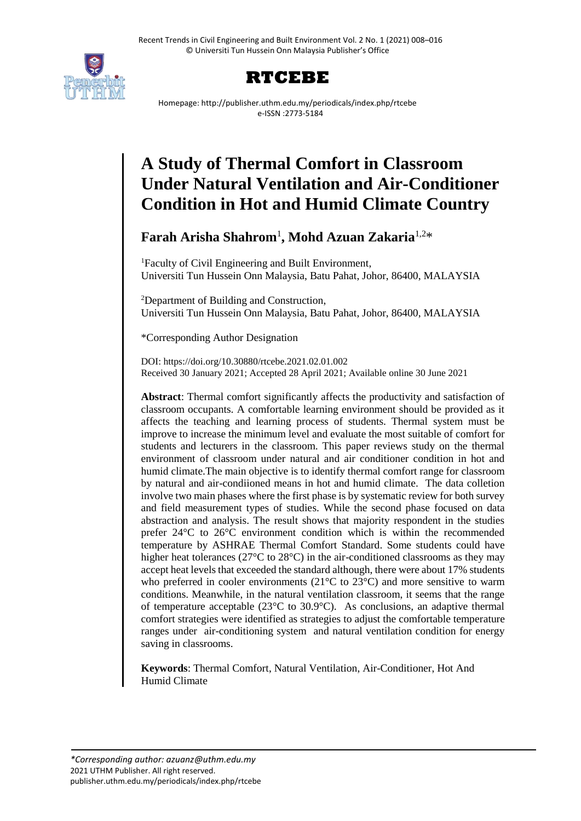



Homepage: http://publisher.uthm.edu.my/periodicals/index.php/rtcebe e-ISSN :2773-5184

# **A Study of Thermal Comfort in Classroom Under Natural Ventilation and Air-Conditioner Condition in Hot and Humid Climate Country**

**Farah Arisha Shahrom**<sup>1</sup> **, Mohd Azuan Zakaria**1,2\*

<sup>1</sup>Faculty of Civil Engineering and Built Environment, Universiti Tun Hussein Onn Malaysia, Batu Pahat, Johor, 86400, MALAYSIA

<sup>2</sup>Department of Building and Construction, Universiti Tun Hussein Onn Malaysia, Batu Pahat, Johor, 86400, MALAYSIA

\*Corresponding Author Designation

DOI: https://doi.org/10.30880/rtcebe.2021.02.01.002 Received 30 January 2021; Accepted 28 April 2021; Available online 30 June 2021

**Abstract**: Thermal comfort significantly affects the productivity and satisfaction of classroom occupants. A comfortable learning environment should be provided as it affects the teaching and learning process of students. Thermal system must be improve to increase the minimum level and evaluate the most suitable of comfort for students and lecturers in the classroom. This paper reviews study on the thermal environment of classroom under natural and air conditioner condition in hot and humid climate.The main objective is to identify thermal comfort range for classroom by natural and air-condiioned means in hot and humid climate. The data colletion involve two main phases where the first phase is by systematic review for both survey and field measurement types of studies. While the second phase focused on data abstraction and analysis. The result shows that majority respondent in the studies prefer 24°C to 26°C environment condition which is within the recommended temperature by ASHRAE Thermal Comfort Standard. Some students could have higher heat tolerances (27<sup>o</sup>C to 28<sup>o</sup>C) in the air-conditioned classrooms as they may accept heat levels that exceeded the standard although, there were about 17% students who preferred in cooler environments ( $21^{\circ}$ C to  $23^{\circ}$ C) and more sensitive to warm conditions. Meanwhile, in the natural ventilation classroom, it seems that the range of temperature acceptable ( $23^{\circ}$ C to  $30.9^{\circ}$ C). As conclusions, an adaptive thermal comfort strategies were identified as strategies to adjust the comfortable temperature ranges under air-conditioning system and natural ventilation condition for energy saving in classrooms.

**Keywords**: Thermal Comfort, Natural Ventilation, Air-Conditioner, Hot And Humid Climate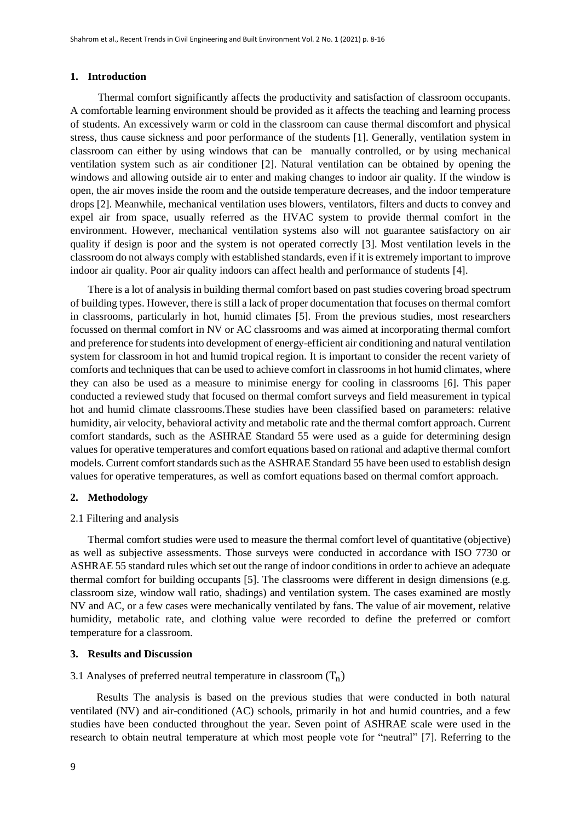## **1. Introduction**

Thermal comfort significantly affects the productivity and satisfaction of classroom occupants. A comfortable learning environment should be provided as it affects the teaching and learning process of students. An excessively warm or cold in the classroom can cause thermal discomfort and physical stress, thus cause sickness and poor performance of the students [1]. Generally, ventilation system in classroom can either by using windows that can be manually controlled, or by using mechanical ventilation system such as air conditioner [2]. Natural ventilation can be obtained by opening the windows and allowing outside air to enter and making changes to indoor air quality. If the window is open, the air moves inside the room and the outside temperature decreases, and the indoor temperature drops [2]. Meanwhile, mechanical ventilation uses blowers, ventilators, filters and ducts to convey and expel air from space, usually referred as the HVAC system to provide thermal comfort in the environment. However, mechanical ventilation systems also will not guarantee satisfactory on air quality if design is poor and the system is not operated correctly [3]. Most ventilation levels in the classroom do not always comply with established standards, even if it is extremely important to improve indoor air quality. Poor air quality indoors can affect health and performance of students [4].

There is a lot of analysis in building thermal comfort based on past studies covering broad spectrum of building types. However, there is still a lack of proper documentation that focuses on thermal comfort in classrooms, particularly in hot, humid climates [5]. From the previous studies, most researchers focussed on thermal comfort in NV or AC classrooms and was aimed at incorporating thermal comfort and preference for students into development of energy-efficient air conditioning and natural ventilation system for classroom in hot and humid tropical region. It is important to consider the recent variety of comforts and techniques that can be used to achieve comfort in classrooms in hot humid climates, where they can also be used as a measure to minimise energy for cooling in classrooms [6]. This paper conducted a reviewed study that focused on thermal comfort surveys and field measurement in typical hot and humid climate classrooms.These studies have been classified based on parameters: relative humidity, air velocity, behavioral activity and metabolic rate and the thermal comfort approach. Current comfort standards, such as the ASHRAE Standard 55 were used as a guide for determining design values for operative temperatures and comfort equations based on rational and adaptive thermal comfort models. Current comfort standards such as the ASHRAE Standard 55 have been used to establish design values for operative temperatures, as well as comfort equations based on thermal comfort approach.

## **2. Methodology**

### 2.1 Filtering and analysis

Thermal comfort studies were used to measure the thermal comfort level of quantitative (objective) as well as subjective assessments. Those surveys were conducted in accordance with ISO 7730 or ASHRAE 55 standard rules which set out the range of indoor conditions in order to achieve an adequate thermal comfort for building occupants [5]. The classrooms were different in design dimensions (e.g. classroom size, window wall ratio, shadings) and ventilation system. The cases examined are mostly NV and AC, or a few cases were mechanically ventilated by fans. The value of air movement, relative humidity, metabolic rate, and clothing value were recorded to define the preferred or comfort temperature for a classroom.

### **3. Results and Discussion**

# 3.1 Analyses of preferred neutral temperature in classroom  $(T_n)$

Results The analysis is based on the previous studies that were conducted in both natural ventilated (NV) and air-conditioned (AC) schools, primarily in hot and humid countries, and a few studies have been conducted throughout the year. Seven point of ASHRAE scale were used in the research to obtain neutral temperature at which most people vote for "neutral" [7]. Referring to the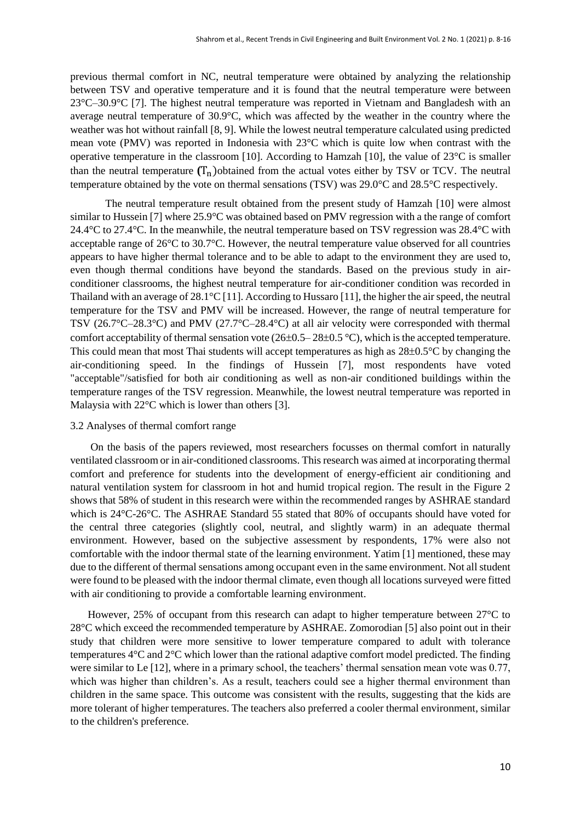previous thermal comfort in NC, neutral temperature were obtained by analyzing the relationship between TSV and operative temperature and it is found that the neutral temperature were between 23°C–30.9°C [7]. The highest neutral temperature was reported in Vietnam and Bangladesh with an average neutral temperature of 30.9°C, which was affected by the weather in the country where the weather was hot without rainfall [8, 9]. While the lowest neutral temperature calculated using predicted mean vote (PMV) was reported in Indonesia with 23°C which is quite low when contrast with the operative temperature in the classroom [10]. According to Hamzah [10], the value of 23°C is smaller than the neutral temperature  $(T_n)$  obtained from the actual votes either by TSV or TCV. The neutral temperature obtained by the vote on thermal sensations (TSV) was 29.0°C and 28.5°C respectively.

The neutral temperature result obtained from the present study of Hamzah [10] were almost similar to Hussein [7] where 25.9°C was obtained based on PMV regression with a the range of comfort 24.4 $\degree$ C to 27.4 $\degree$ C. In the meanwhile, the neutral temperature based on TSV regression was 28.4 $\degree$ C with acceptable range of 26°C to 30.7°C. However, the neutral temperature value observed for all countries appears to have higher thermal tolerance and to be able to adapt to the environment they are used to, even though thermal conditions have beyond the standards. Based on the previous study in airconditioner classrooms, the highest neutral temperature for air-conditioner condition was recorded in Thailand with an average of 28.1°C [11]. According to Hussaro [11], the higher the air speed, the neutral temperature for the TSV and PMV will be increased. However, the range of neutral temperature for TSV (26.7°C–28.3°C) and PMV (27.7°C–28.4°C) at all air velocity were corresponded with thermal comfort acceptability of thermal sensation vote  $(26\pm0.5-28\pm0.5\degree\text{C})$ , which is the accepted temperature. This could mean that most Thai students will accept temperatures as high as  $28\pm0.5^{\circ}$ C by changing the air-conditioning speed. In the findings of Hussein [7], most respondents have voted "acceptable"/satisfied for both air conditioning as well as non-air conditioned buildings within the temperature ranges of the TSV regression. Meanwhile, the lowest neutral temperature was reported in Malaysia with 22°C which is lower than others [3].

#### 3.2 Analyses of thermal comfort range

On the basis of the papers reviewed, most researchers focusses on thermal comfort in naturally ventilated classroom or in air-conditioned classrooms. This research was aimed at incorporating thermal comfort and preference for students into the development of energy-efficient air conditioning and natural ventilation system for classroom in hot and humid tropical region. The result in the Figure 2 shows that 58% of student in this research were within the recommended ranges by ASHRAE standard which is 24°C-26°C. The ASHRAE Standard 55 stated that 80% of occupants should have voted for the central three categories (slightly cool, neutral, and slightly warm) in an adequate thermal environment. However, based on the subjective assessment by respondents, 17% were also not comfortable with the indoor thermal state of the learning environment. Yatim [1] mentioned, these may due to the different of thermal sensations among occupant even in the same environment. Not all student were found to be pleased with the indoor thermal climate, even though all locations surveyed were fitted with air conditioning to provide a comfortable learning environment.

However, 25% of occupant from this research can adapt to higher temperature between 27°C to 28°C which exceed the recommended temperature by ASHRAE. Zomorodian [5] also point out in their study that children were more sensitive to lower temperature compared to adult with tolerance temperatures 4°C and 2°C which lower than the rational adaptive comfort model predicted. The finding were similar to Le [12], where in a primary school, the teachers' thermal sensation mean vote was 0.77, which was higher than children's. As a result, teachers could see a higher thermal environment than children in the same space. This outcome was consistent with the results, suggesting that the kids are more tolerant of higher temperatures. The teachers also preferred a cooler thermal environment, similar to the children's preference.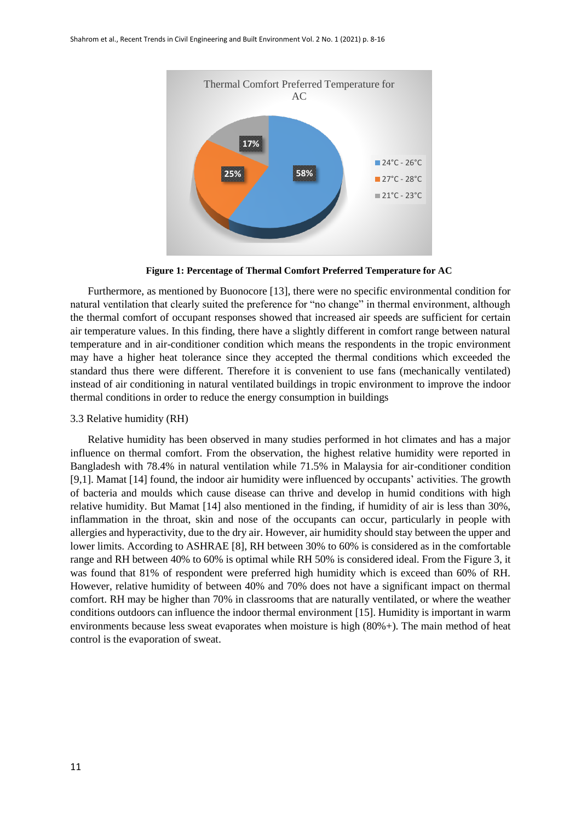

**Figure 1: Percentage of Thermal Comfort Preferred Temperature for AC**

Furthermore, as mentioned by Buonocore [13], there were no specific environmental condition for natural ventilation that clearly suited the preference for "no change" in thermal environment, although the thermal comfort of occupant responses showed that increased air speeds are sufficient for certain air temperature values. In this finding, there have a slightly different in comfort range between natural temperature and in air-conditioner condition which means the respondents in the tropic environment may have a higher heat tolerance since they accepted the thermal conditions which exceeded the standard thus there were different. Therefore it is convenient to use fans (mechanically ventilated) instead of air conditioning in natural ventilated buildings in tropic environment to improve the indoor thermal conditions in order to reduce the energy consumption in buildings

#### 3.3 Relative humidity (RH)

Relative humidity has been observed in many studies performed in hot climates and has a major influence on thermal comfort. From the observation, the highest relative humidity were reported in Bangladesh with 78.4% in natural ventilation while 71.5% in Malaysia for air-conditioner condition [9,1]. Mamat [14] found, the indoor air humidity were influenced by occupants' activities. The growth of bacteria and moulds which cause disease can thrive and develop in humid conditions with high relative humidity. But Mamat [14] also mentioned in the finding, if humidity of air is less than 30%, inflammation in the throat, skin and nose of the occupants can occur, particularly in people with allergies and hyperactivity, due to the dry air. However, air humidity should stay between the upper and lower limits. According to ASHRAE [8], RH between 30% to 60% is considered as in the comfortable range and RH between 40% to 60% is optimal while RH 50% is considered ideal. From the Figure 3, it was found that 81% of respondent were preferred high humidity which is exceed than 60% of RH. However, relative humidity of between 40% and 70% does not have a significant impact on thermal comfort. RH may be higher than 70% in classrooms that are naturally ventilated, or where the weather conditions outdoors can influence the indoor thermal environment [15]. Humidity is important in warm environments because less sweat evaporates when moisture is high (80%+). The main method of heat control is the evaporation of sweat.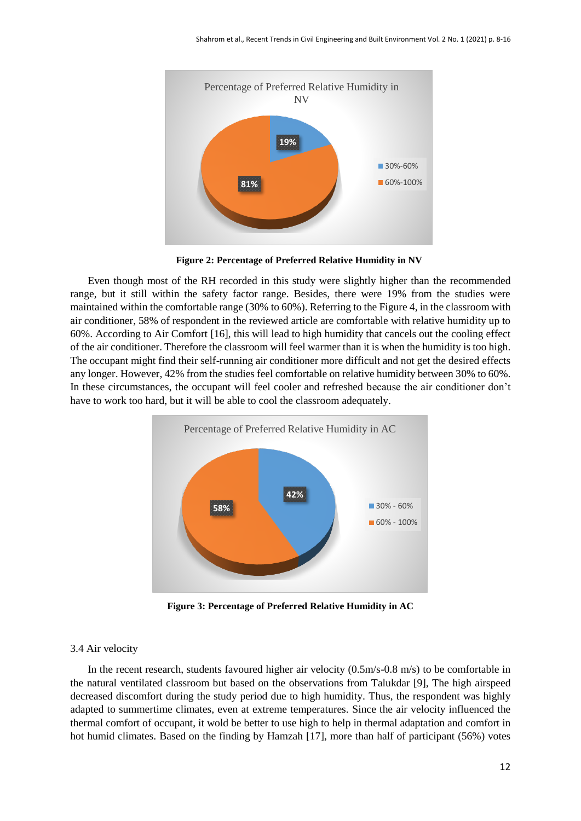

**Figure 2: Percentage of Preferred Relative Humidity in NV**

Even though most of the RH recorded in this study were slightly higher than the recommended range, but it still within the safety factor range. Besides, there were 19% from the studies were maintained within the comfortable range (30% to 60%). Referring to the Figure 4, in the classroom with air conditioner, 58% of respondent in the reviewed article are comfortable with relative humidity up to 60%. According to Air Comfort [16], this will lead to high humidity that cancels out the cooling effect of the air conditioner. Therefore the classroom will feel warmer than it is when the humidity is too high. The occupant might find their self-running air conditioner more difficult and not get the desired effects any longer. However, 42% from the studies feel comfortable on relative humidity between 30% to 60%. In these circumstances, the occupant will feel cooler and refreshed because the air conditioner don't have to work too hard, but it will be able to cool the classroom adequately.



**Figure 3: Percentage of Preferred Relative Humidity in AC**

## 3.4 Air velocity

In the recent research, students favoured higher air velocity (0.5m/s-0.8 m/s) to be comfortable in the natural ventilated classroom but based on the observations from Talukdar [9], The high airspeed decreased discomfort during the study period due to high humidity. Thus, the respondent was highly adapted to summertime climates, even at extreme temperatures. Since the air velocity influenced the thermal comfort of occupant, it wold be better to use high to help in thermal adaptation and comfort in hot humid climates. Based on the finding by Hamzah [17], more than half of participant (56%) votes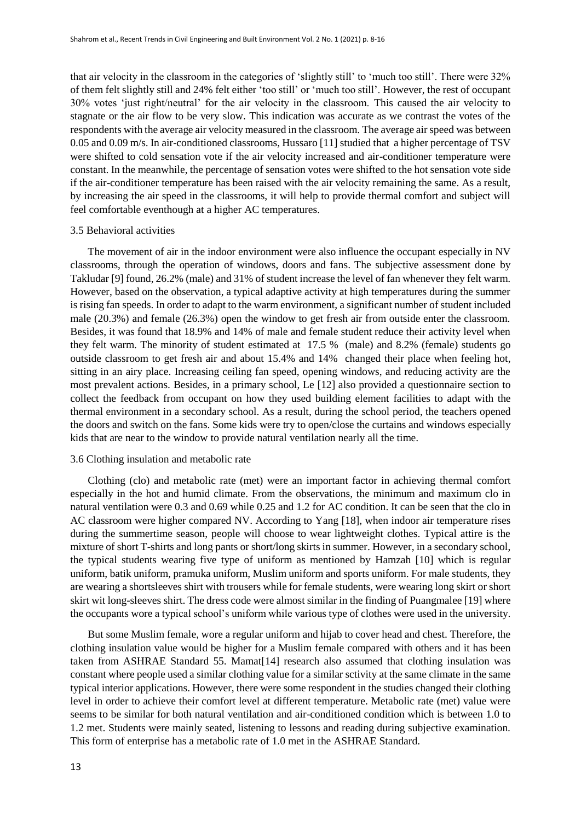that air velocity in the classroom in the categories of 'slightly still' to 'much too still'. There were 32% of them felt slightly still and 24% felt either 'too still' or 'much too still'. However, the rest of occupant 30% votes 'just right/neutral' for the air velocity in the classroom. This caused the air velocity to stagnate or the air flow to be very slow. This indication was accurate as we contrast the votes of the respondents with the average air velocity measured in the classroom. The average air speed was between 0.05 and 0.09 m/s. In air-conditioned classrooms, Hussaro [11] studied that a higher percentage of TSV were shifted to cold sensation vote if the air velocity increased and air-conditioner temperature were constant. In the meanwhile, the percentage of sensation votes were shifted to the hot sensation vote side if the air-conditioner temperature has been raised with the air velocity remaining the same. As a result, by increasing the air speed in the classrooms, it will help to provide thermal comfort and subject will feel comfortable eventhough at a higher AC temperatures.

## 3.5 Behavioral activities

The movement of air in the indoor environment were also influence the occupant especially in NV classrooms, through the operation of windows, doors and fans. The subjective assessment done by Takludar [9] found, 26.2% (male) and 31% of student increase the level of fan whenever they felt warm. However, based on the observation, a typical adaptive activity at high temperatures during the summer is rising fan speeds. In order to adapt to the warm environment, a significant number of student included male (20.3%) and female (26.3%) open the window to get fresh air from outside enter the classroom. Besides, it was found that 18.9% and 14% of male and female student reduce their activity level when they felt warm. The minority of student estimated at 17.5 % (male) and 8.2% (female) students go outside classroom to get fresh air and about 15.4% and 14% changed their place when feeling hot, sitting in an airy place. Increasing ceiling fan speed, opening windows, and reducing activity are the most prevalent actions. Besides, in a primary school, Le [12] also provided a questionnaire section to collect the feedback from occupant on how they used building element facilities to adapt with the thermal environment in a secondary school. As a result, during the school period, the teachers opened the doors and switch on the fans. Some kids were try to open/close the curtains and windows especially kids that are near to the window to provide natural ventilation nearly all the time.

#### 3.6 Clothing insulation and metabolic rate

Clothing (clo) and metabolic rate (met) were an important factor in achieving thermal comfort especially in the hot and humid climate. From the observations, the minimum and maximum clo in natural ventilation were 0.3 and 0.69 while 0.25 and 1.2 for AC condition. It can be seen that the clo in AC classroom were higher compared NV. According to Yang [18], when indoor air temperature rises during the summertime season, people will choose to wear lightweight clothes. Typical attire is the mixture of short T-shirts and long pants or short/long skirts in summer. However, in a secondary school, the typical students wearing five type of uniform as mentioned by Hamzah [10] which is regular uniform, batik uniform, pramuka uniform, Muslim uniform and sports uniform. For male students, they are wearing a shortsleeves shirt with trousers while for female students, were wearing long skirt or short skirt wit long-sleeves shirt. The dress code were almost similar in the finding of Puangmalee [19] where the occupants wore a typical school's uniform while various type of clothes were used in the university.

But some Muslim female, wore a regular uniform and hijab to cover head and chest. Therefore, the clothing insulation value would be higher for a Muslim female compared with others and it has been taken from ASHRAE Standard 55. Mamat[14] research also assumed that clothing insulation was constant where people used a similar clothing value for a similar sctivity at the same climate in the same typical interior applications. However, there were some respondent in the studies changed their clothing level in order to achieve their comfort level at different temperature. Metabolic rate (met) value were seems to be similar for both natural ventilation and air-conditioned condition which is between 1.0 to 1.2 met. Students were mainly seated, listening to lessons and reading during subjective examination. This form of enterprise has a metabolic rate of 1.0 met in the ASHRAE Standard.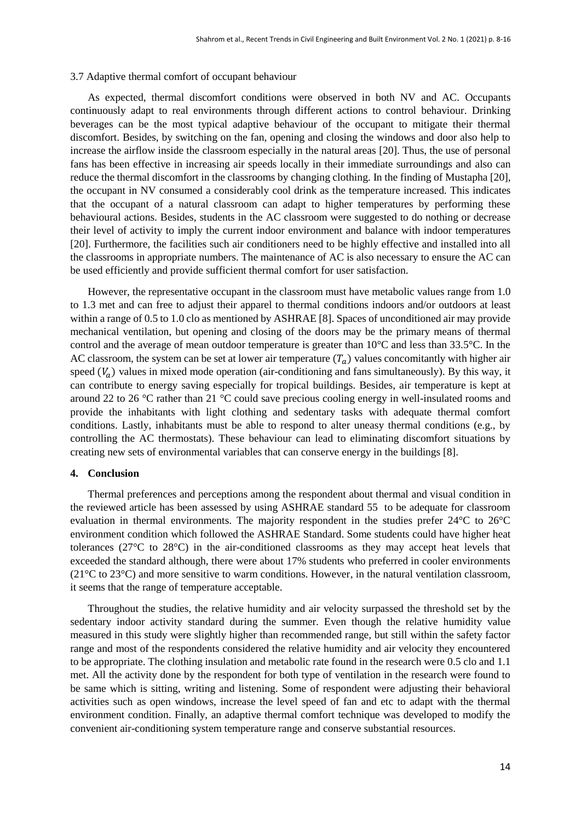#### 3.7 Adaptive thermal comfort of occupant behaviour

As expected, thermal discomfort conditions were observed in both NV and AC. Occupants continuously adapt to real environments through different actions to control behaviour. Drinking beverages can be the most typical adaptive behaviour of the occupant to mitigate their thermal discomfort. Besides, by switching on the fan, opening and closing the windows and door also help to increase the airflow inside the classroom especially in the natural areas [20]. Thus, the use of personal fans has been effective in increasing air speeds locally in their immediate surroundings and also can reduce the thermal discomfort in the classrooms by changing clothing. In the finding of Mustapha [20], the occupant in NV consumed a considerably cool drink as the temperature increased. This indicates that the occupant of a natural classroom can adapt to higher temperatures by performing these behavioural actions. Besides, students in the AC classroom were suggested to do nothing or decrease their level of activity to imply the current indoor environment and balance with indoor temperatures [20]. Furthermore, the facilities such air conditioners need to be highly effective and installed into all the classrooms in appropriate numbers. The maintenance of AC is also necessary to ensure the AC can be used efficiently and provide sufficient thermal comfort for user satisfaction.

However, the representative occupant in the classroom must have metabolic values range from 1.0 to 1.3 met and can free to adjust their apparel to thermal conditions indoors and/or outdoors at least within a range of 0.5 to 1.0 clo as mentioned by ASHRAE [8]. Spaces of unconditioned air may provide mechanical ventilation, but opening and closing of the doors may be the primary means of thermal control and the average of mean outdoor temperature is greater than 10°C and less than 33.5°C. In the AC classroom, the system can be set at lower air temperature  $(T_a)$  values concomitantly with higher air speed  $(V_a)$  values in mixed mode operation (air-conditioning and fans simultaneously). By this way, it can contribute to energy saving especially for tropical buildings. Besides, air temperature is kept at around 22 to 26 °C rather than 21 °C could save precious cooling energy in well-insulated rooms and provide the inhabitants with light clothing and sedentary tasks with adequate thermal comfort conditions. Lastly, inhabitants must be able to respond to alter uneasy thermal conditions (e.g., by controlling the AC thermostats). These behaviour can lead to eliminating discomfort situations by creating new sets of environmental variables that can conserve energy in the buildings [8].

## **4. Conclusion**

Thermal preferences and perceptions among the respondent about thermal and visual condition in the reviewed article has been assessed by using ASHRAE standard 55 to be adequate for classroom evaluation in thermal environments. The majority respondent in the studies prefer 24°C to 26°C environment condition which followed the ASHRAE Standard. Some students could have higher heat tolerances (27°C to 28°C) in the air-conditioned classrooms as they may accept heat levels that exceeded the standard although, there were about 17% students who preferred in cooler environments  $(21^{\circ}$ C to 23<sup> $\circ$ </sup>C) and more sensitive to warm conditions. However, in the natural ventilation classroom, it seems that the range of temperature acceptable.

Throughout the studies, the relative humidity and air velocity surpassed the threshold set by the sedentary indoor activity standard during the summer. Even though the relative humidity value measured in this study were slightly higher than recommended range, but still within the safety factor range and most of the respondents considered the relative humidity and air velocity they encountered to be appropriate. The clothing insulation and metabolic rate found in the research were 0.5 clo and 1.1 met. All the activity done by the respondent for both type of ventilation in the research were found to be same which is sitting, writing and listening. Some of respondent were adjusting their behavioral activities such as open windows, increase the level speed of fan and etc to adapt with the thermal environment condition. Finally, an adaptive thermal comfort technique was developed to modify the convenient air-conditioning system temperature range and conserve substantial resources.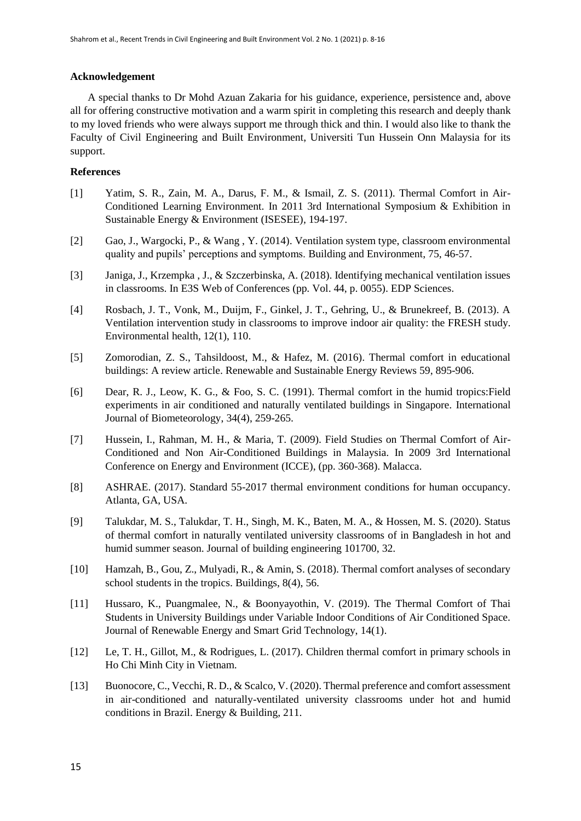# **Acknowledgement**

A special thanks to Dr Mohd Azuan Zakaria for his guidance, experience, persistence and, above all for offering constructive motivation and a warm spirit in completing this research and deeply thank to my loved friends who were always support me through thick and thin. I would also like to thank the Faculty of Civil Engineering and Built Environment, Universiti Tun Hussein Onn Malaysia for its support.

# **References**

- [1] Yatim, S. R., Zain, M. A., Darus, F. M., & Ismail, Z. S. (2011). Thermal Comfort in Air-Conditioned Learning Environment. In 2011 3rd International Symposium & Exhibition in Sustainable Energy & Environment (ISESEE), 194-197.
- [2] Gao, J., Wargocki, P., & Wang , Y. (2014). Ventilation system type, classroom environmental quality and pupils' perceptions and symptoms. Building and Environment, 75, 46-57.
- [3] Janiga, J., Krzempka , J., & Szczerbinska, A. (2018). Identifying mechanical ventilation issues in classrooms. In E3S Web of Conferences (pp. Vol. 44, p. 0055). EDP Sciences.
- [4] Rosbach, J. T., Vonk, M., Duijm, F., Ginkel, J. T., Gehring, U., & Brunekreef, B. (2013). A Ventilation intervention study in classrooms to improve indoor air quality: the FRESH study. Environmental health, 12(1), 110.
- [5] Zomorodian, Z. S., Tahsildoost, M., & Hafez, M. (2016). Thermal comfort in educational buildings: A review article. Renewable and Sustainable Energy Reviews 59, 895-906.
- [6] Dear, R. J., Leow, K. G., & Foo, S. C. (1991). Thermal comfort in the humid tropics: Field experiments in air conditioned and naturally ventilated buildings in Singapore. International Journal of Biometeorology, 34(4), 259-265.
- [7] Hussein, I., Rahman, M. H., & Maria, T. (2009). Field Studies on Thermal Comfort of Air-Conditioned and Non Air-Conditioned Buildings in Malaysia. In 2009 3rd International Conference on Energy and Environment (ICCE), (pp. 360-368). Malacca.
- [8] ASHRAE. (2017). Standard 55-2017 thermal environment conditions for human occupancy. Atlanta, GA, USA.
- [9] Talukdar, M. S., Talukdar, T. H., Singh, M. K., Baten, M. A., & Hossen, M. S. (2020). Status of thermal comfort in naturally ventilated university classrooms of in Bangladesh in hot and humid summer season. Journal of building engineering 101700, 32.
- [10] Hamzah, B., Gou, Z., Mulyadi, R., & Amin, S. (2018). Thermal comfort analyses of secondary school students in the tropics. Buildings, 8(4), 56.
- [11] Hussaro, K., Puangmalee, N., & Boonyayothin, V. (2019). The Thermal Comfort of Thai Students in University Buildings under Variable Indoor Conditions of Air Conditioned Space. Journal of Renewable Energy and Smart Grid Technology, 14(1).
- [12] Le, T. H., Gillot, M., & Rodrigues, L. (2017). Children thermal comfort in primary schools in Ho Chi Minh City in Vietnam.
- [13] Buonocore, C., Vecchi, R. D., & Scalco, V. (2020). Thermal preference and comfort assessment in air-conditioned and naturally-ventilated university classrooms under hot and humid conditions in Brazil. Energy & Building, 211.